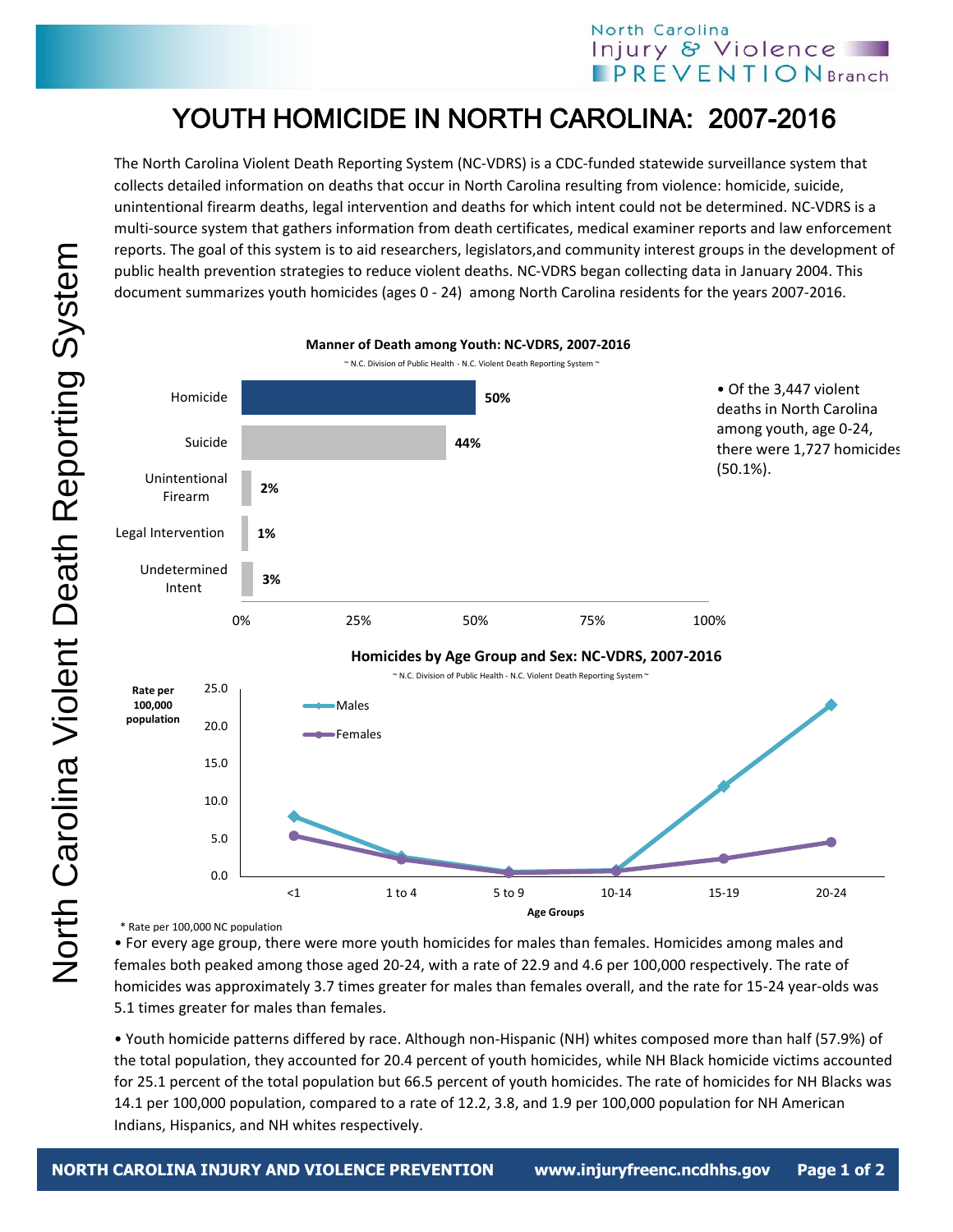## North Carolina Injury & Violence **PREVENTIONBranch**

## YOUTH HOMICIDE IN NORTH CAROLINA: 2007-2016

The North Carolina Violent Death Reporting System (NC-VDRS) is a CDC-funded statewide surveillance system that collects detailed information on deaths that occur in North Carolina resulting from violence: homicide, suicide, unintentional firearm deaths, legal intervention and deaths for which intent could not be determined. NC-VDRS is a multi-source system that gathers information from death certificates, medical examiner reports and law enforcement reports. The goal of this system is to aid researchers, legislators,and community interest groups in the development of public health prevention strategies to reduce violent deaths. NC-VDRS began collecting data in January 2004. This document summarizes youth homicides (ages 0 - 24) among North Carolina residents for the years 2007-2016.



\* Rate per 100,000 NC population

• For every age group, there were more youth homicides for males than females. Homicides among males and females both peaked among those aged 20-24, with a rate of 22.9 and 4.6 per 100,000 respectively. The rate of homicides was approximately 3.7 times greater for males than females overall, and the rate for 15-24 year-olds was 5.1 times greater for males than females.

• Youth homicide patterns differed by race. Although non-Hispanic (NH) whites composed more than half (57.9%) of the total population, they accounted for 20.4 percent of youth homicides, while NH Black homicide victims accounted for 25.1 percent of the total population but 66.5 percent of youth homicides. The rate of homicides for NH Blacks was 14.1 per 100,000 population, compared to a rate of 12.2, 3.8, and 1.9 per 100,000 population for NH American Indians, Hispanics, and NH whites respectively.